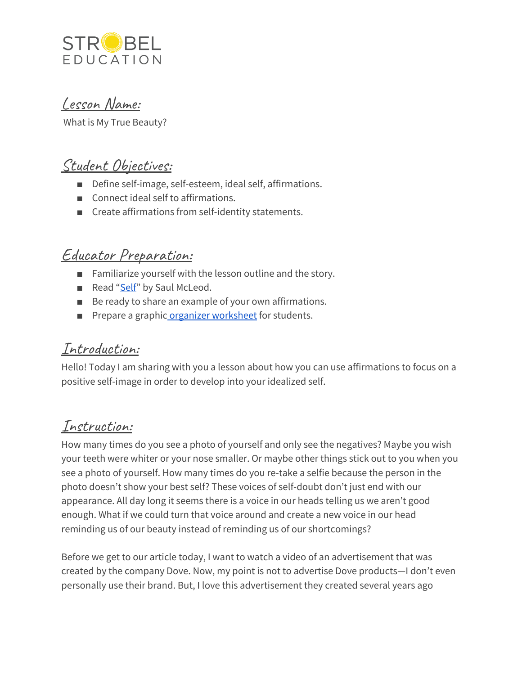

Lesson Name:

What is My True Beauty?

# Student Objectives:

- Define self-image, self-esteem, ideal self, affirmations.
- Connect ideal self to affirmations.
- Create affirmations from self-identity statements.

## Educator Preparation:

- Familiarize yourself with the lesson outline and the story.
- Read "[Self"](https://www.commonlit.org/en/texts/self-concept) by Saul McLeod.
- Be ready to share an example of your own affirmations.
- Prepare a graphic organizer [worksheet](https://docs.google.com/document/d/1PSsZacjnm_iMPLxYfKJZtx2reeKIyUvFL56l5WzbXGo/edit?usp=sharing) for students.

### Introduction:

Hello! Today I am sharing with you a lesson about how you can use affirmations to focus on a positive self-image in order to develop into your idealized self.

## Instruction:

How many times do you see a photo of yourself and only see the negatives? Maybe you wish your teeth were whiter or your nose smaller. Or maybe other things stick out to you when you see a photo of yourself. How many times do you re-take a selfie because the person in the photo doesn't show your best self? These voices of self-doubt don't just end with our appearance. All day long it seems there is a voice in our heads telling us we aren't good enough. What if we could turn that voice around and create a new voice in our head reminding us of our beauty instead of reminding us of our shortcomings?

Before we get to our article today, I want to watch a video of an advertisement that was created by the company Dove. Now, my point is not to advertise Dove products—I don't even personally use their brand. But, I love this advertisement they created several years ago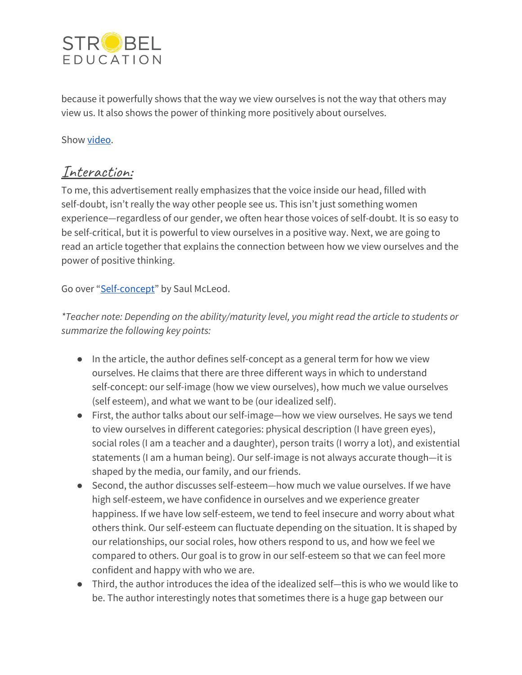

because it powerfully shows that the way we view ourselves is not the way that others may view us. It also shows the power of thinking more positively about ourselves.

#### Show [video](https://www.youtube.com/watch?v=XpaOjMXyJGk).

### Interaction:

To me, this advertisement really emphasizes that the voice inside our head, filled with self-doubt, isn't really the way other people see us. This isn't just something women experience—regardless of our gender, we often hear those voices of self-doubt. It is so easy to be self-critical, but it is powerful to view ourselves in a positive way. Next, we are going to read an article together that explains the connection between how we view ourselves and the power of positive thinking.

Go over ["Self-concept"](https://www.commonlit.org/en/texts/self-concept) by Saul McLeod.

*\*Teacher note: Depending on the ability/maturity level, you might read the article to students or summarize the following key points:*

- In the article, the author defines self-concept as a general term for how we view ourselves. He claims that there are three different ways in which to understand self-concept: our self-image (how we view ourselves), how much we value ourselves (self esteem), and what we want to be (our idealized self).
- First, the author talks about our self-image—how we view ourselves. He says we tend to view ourselves in different categories: physical description (I have green eyes), social roles (I am a teacher and a daughter), person traits (I worry a lot), and existential statements (I am a human being). Our self-image is not always accurate though—it is shaped by the media, our family, and our friends.
- Second, the author discusses self-esteem—how much we value ourselves. If we have high self-esteem, we have confidence in ourselves and we experience greater happiness. If we have low self-esteem, we tend to feel insecure and worry about what others think. Our self-esteem can fluctuate depending on the situation. It is shaped by our relationships, our social roles, how others respond to us, and how we feel we compared to others. Our goal is to grow in our self-esteem so that we can feel more confident and happy with who we are.
- Third, the author introduces the idea of the idealized self—this is who we would like to be. The author interestingly notes that sometimes there is a huge gap between our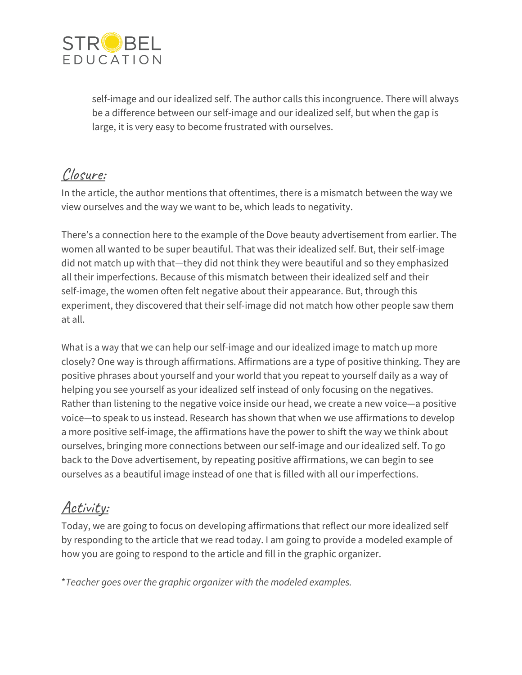

self-image and our idealized self. The author calls this incongruence. There will always be a difference between our self-image and our idealized self, but when the gap is large, it is very easy to become frustrated with ourselves.

## Closure:

In the article, the author mentions that oftentimes, there is a mismatch between the way we view ourselves and the way we want to be, which leads to negativity.

There's a connection here to the example of the Dove beauty advertisement from earlier. The women all wanted to be super beautiful. That was their idealized self. But, their self-image did not match up with that—they did not think they were beautiful and so they emphasized all their imperfections. Because of this mismatch between their idealized self and their self-image, the women often felt negative about their appearance. But, through this experiment, they discovered that their self-image did not match how other people saw them at all.

What is a way that we can help our self-image and our idealized image to match up more closely? One way is through affirmations. Affirmations are a type of positive thinking. They are positive phrases about yourself and your world that you repeat to yourself daily as a way of helping you see yourself as your idealized self instead of only focusing on the negatives. Rather than listening to the negative voice inside our head, we create a new voice—a positive voice—to speak to us instead. Research has shown that when we use affirmations to develop a more positive self-image, the affirmations have the power to shift the way we think about ourselves, bringing more connections between our self-image and our idealized self. To go back to the Dove advertisement, by repeating positive affirmations, we can begin to see ourselves as a beautiful image instead of one that is filled with all our imperfections.

## Activity:

Today, we are going to focus on developing affirmations that reflect our more idealized self by responding to the article that we read today. I am going to provide a modeled example of how you are going to respond to the article and fill in the graphic organizer.

\**Teacher goes over the graphic organizer with the modeled examples.*